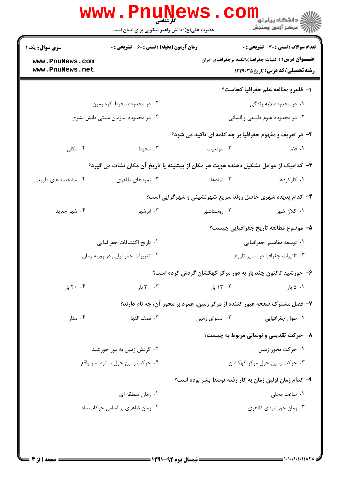| <b>تعداد سوالات : تستي : 30 ٪ تشريحي : 0</b>                 |                | زمان آزمون (دقیقه) : تستی : 60 ٪ تشریحی : 0                                          | <b>سری سوال :</b> یک ۱ |
|--------------------------------------------------------------|----------------|--------------------------------------------------------------------------------------|------------------------|
| <b>عنـــوان درس:</b> ( کلیات جغرافیا(باتکیه برجغرافیای ایران |                |                                                                                      | www.PnuNews.com        |
| <b>رشته تحصیلی/کد درس:</b> تاریخ۲۲۹۰۳۵                       |                |                                                                                      | www.PnuNews.net        |
| ا– قلمرو مطالعه علم جغرافيا كجاست؟                           |                |                                                                                      |                        |
| ۱. در محدوده لايه زندگي                                      |                | ۰۲ در محدوده محیط کره زمین                                                           |                        |
| ۰۳ در محدوده علوم طبیعی و انسانی                             |                | ۰۴ در محدوده سازمان سنتی دانش بشری                                                   |                        |
| ۲- در تعریف و مفهوم جغرافیا بر چه کلمه ای تاکید می شود؟      |                |                                                                                      |                        |
| ۰۱ فضا                                                       | ۰۲ موقعیت      | ۰۳ محیط                                                                              | ۰۴ مکان                |
|                                                              |                | ۳– کدامیک از عوامل تشکیل دهنده هویت هر مکان از پیشینه یا تاریخ آن مکان نشات می گیرد؟ |                        |
| ۰۱ کارگردها                                                  | ۰۲ نمادها      | ۰۳ نمودهای ظاهری                                                                     | ۰۴ مشخصه های طبیعی     |
| ۴- کدام پدیده شهری حاصل روند سریع شهرنشینی و شهرگرایی است؟   |                |                                                                                      |                        |
| ۰۱ کلان شهر                                                  | ۰۲ روستاشهر    | ۰۳ ابرشهر                                                                            | ۰۴ شهر جدید            |
| ۵– موضوع مطالعه تاريخ جغرافيايي چيست؟                        |                |                                                                                      |                        |
| ۰۱ توسعه مفاهيم جغرافيايي                                    |                | ٠٢ تاريخ اكتشافات جغرافيايي                                                          |                        |
| ۰۳ تاثیرات جغرافیا در مسیر تاریخ                             |                | ۰۴ تغییرات جغرافیایی در روزنه زمان                                                   |                        |
| ۶- خورشید تاکنون چند بار به دور مرکز کهکشان گردش کرده است؟   |                |                                                                                      |                        |
| ۰۱ ۵ بار                                                     | ۰۲ ۱۳ بار      | ر ۳۰ $\cdots$ بار $\cdots$                                                           | ۲۰ ۲۰ بار $\mathsf{S}$ |
|                                                              |                | ۷- فصل مشترک صفحه عبور کننده از مرکز زمین، عمود بر محور آن، چه نام دارند؟            |                        |
| ۰۱ طول جغرافیایی                                             | ۰۲ استوای زمین | ۰۳ نصف النهار                                                                        | ۰۴ مدار                |
| ۸- حرکت تقدیمی و نوسانی مربوط به چیست؟                       |                |                                                                                      |                        |
| ۰۱ حرکت محور زمین                                            |                | ۰۲ گردش زمین به دور خورشید                                                           |                        |
| ۰۳ حرکت زمین حول مرکز کهکشان                                 |                | ۰۴ حرکت زمین حول ستاره نسر واقع                                                      |                        |
| ۹– کدام زمان اولین زمان به کار رفته توسط بشر بوده است؟       |                |                                                                                      |                        |
| ۰۱ ساعت محل <sub>ی</sub>                                     |                | ۰۲ زمان منطقه ای                                                                     |                        |
| ۰۳ زمان خورشیدی ظاهری                                        |                | ۰۴ زمان ظاهری بر اساس حرکات ماه                                                      |                        |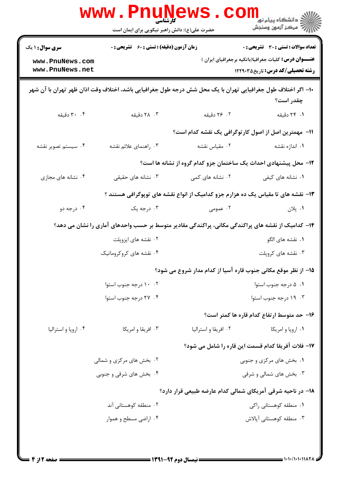|                                                              | WWW.PILUIN<br>حضرت علی(ع): دانش راهبر نیکویی برای ایمان است                                                  |                                                                | ڪ دانشڪاه پيا <sub>م</sub> نور<br><mark>√</mark> مرڪز آزمون وسنڊش                                                                                  |  |  |
|--------------------------------------------------------------|--------------------------------------------------------------------------------------------------------------|----------------------------------------------------------------|----------------------------------------------------------------------------------------------------------------------------------------------------|--|--|
| <b>سری سوال : ۱ یک</b><br>www.PnuNews.com<br>www.PnuNews.net | <b>زمان آزمون (دقیقه) : تستی : 60 ٪ تشریحی : 0</b>                                                           |                                                                | تعداد سوالات : تستى : 30 - تشريحي : 0<br><b>عنــــوان درس:</b> کلیات جغرافیا(باتکیه برجغرافیای ایران )<br><b>رشته تحصیلی/کد درس:</b> تاریخ ۱۲۲۹۰۳۵ |  |  |
|                                                              | ∙ا− اگر اختلاف طول جغرافیایی تهران با یک محل شش درجه طول جغرافیایی باشد، اختلاف وقت اذان ظهر تهران با آن شهر |                                                                | چقدر است؟                                                                                                                                          |  |  |
| ۰۴ دقیقه                                                     | ۰۳ دقیقه                                                                                                     | ٢. ٢۶ دقیقه                                                    | ۰۱ ۲۴ دقیقه                                                                                                                                        |  |  |
|                                                              |                                                                                                              | 11- مهمترین اصل از اصول کارتوگرافی یک نقشه کدام است؟           |                                                                                                                                                    |  |  |
| ۴. سیستم تصویر نقشه                                          | ۰۳ راهنمای علائم نقشه                                                                                        | ۰۲ مقیاس نقشه                                                  | ۰۱ اندازه نقشه                                                                                                                                     |  |  |
|                                                              | ۱۲- محل پیشنهادی احداث یک ساختمان جزو کدام گروه از نشانه ها است؟                                             |                                                                |                                                                                                                                                    |  |  |
| ۰۴ نشانه های مجازی                                           | ۰۳ نشانه های حقیقی                                                                                           | ۰۲ نشانه های کمی                                               | ۰۱ نشانه های کیفی                                                                                                                                  |  |  |
|                                                              | ۱۳- نقشه های تا مقیاس یک ده هزارم جزو کدامیک از انواع نقشه های توپوگرافی هستند ؟                             |                                                                |                                                                                                                                                    |  |  |
| ۰۴ درجه دو                                                   | ۰۳ درجه یک                                                                                                   | ۰۲ عمومی                                                       | ۰۱. پلان                                                                                                                                           |  |  |
|                                                              | ۱۴– کدامیک از نقشه های پراکندگی مکانی، پراکندگی مقادیر متوسط بر حسب واحدهای آماری را نشان می دهد؟            |                                                                |                                                                                                                                                    |  |  |
|                                                              | ۰۲ نقشه های ایزوپلت                                                                                          |                                                                | ٠١. نقشه های الگو                                                                                                                                  |  |  |
|                                                              | ۰۴ نقشه های کروکروماتیک                                                                                      |                                                                | ۰۳ نقشه های کروپلت                                                                                                                                 |  |  |
|                                                              |                                                                                                              | 1۵– از نظر موقع مکانی جنوب قاره آسیا از کدام مدار شروع می شود؟ |                                                                                                                                                    |  |  |
|                                                              | ۰۲ ۱۰ درجه جنوب استوا                                                                                        |                                                                | ۰۱ ۵ درجه جنوب استوا                                                                                                                               |  |  |
|                                                              | ۰۴ ۲۷ درجه جنوب استوا                                                                                        |                                                                | ۰۳ ۱۹ درجه جنوب استوا                                                                                                                              |  |  |
|                                                              |                                                                                                              |                                                                | ۱۶– حد متوسط ارتفاع كدام قاره ها كمتر است؟                                                                                                         |  |  |
| ۰۴ اروپا و استراليا                                          | ۰۳ افریقا و امریکا                                                                                           | ۰۲ افریقا و استرالیا                                           | ۰۱ اروپا و امریکا                                                                                                                                  |  |  |
|                                                              |                                                                                                              | ١٧- فلات آفريقا كدام قسمت اين قاره را شامل مي شود؟             |                                                                                                                                                    |  |  |
|                                                              | ۰۲ بخش های مرکزی و شمالی                                                                                     |                                                                | ۰۱ بخش های مرکزی و جنوبی                                                                                                                           |  |  |
|                                                              | ۰۴ بخش های شرقی و جنوبی                                                                                      |                                                                | ۰۳ بخش های شمالی و شرقی                                                                                                                            |  |  |
|                                                              |                                                                                                              | ۱۸– در ناحیه شرقی آمریکای شمالی کدام عارضه طبیعی قرار دارد؟    |                                                                                                                                                    |  |  |
|                                                              | ۰۲ منطقه کوهستانی آند                                                                                        |                                                                | ۰۱ منطقه کوهستانی راکی                                                                                                                             |  |  |
|                                                              | ۰۴ اراضی مسطح و هموار                                                                                        |                                                                | ۰۳ منطقه کوهستانی آپالاش                                                                                                                           |  |  |
|                                                              |                                                                                                              |                                                                |                                                                                                                                                    |  |  |
|                                                              |                                                                                                              |                                                                |                                                                                                                                                    |  |  |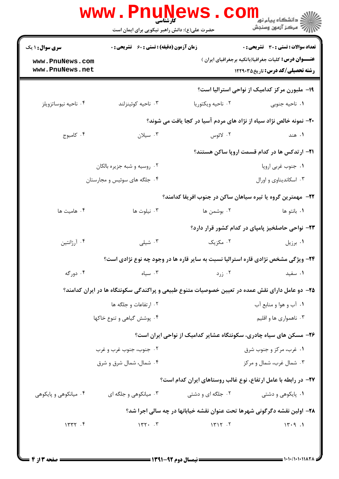|                                    | <b>www.Pnunews</b><br>حضرت علی(ع): دانش راهبر نیکویی برای ایمان است                             |                   | ڪ دانشڪاه پيا <sub>م</sub> نور ■<br>//> مرکز آزمون وسنجش                                                     |
|------------------------------------|-------------------------------------------------------------------------------------------------|-------------------|--------------------------------------------------------------------------------------------------------------|
| <b>سری سوال :</b> ۱ یک             | زمان آزمون (دقیقه) : تستی : 60 قشریحی : 0                                                       |                   | تعداد سوالات : تستى : 30 - تشريحي : 0                                                                        |
| www.PnuNews.com<br>www.PnuNews.net |                                                                                                 |                   | <del>عنــــو</del> ان درس: کلیات جغرافیا(باتکیه برجغرافیای ایران )<br><b>رشته تحصیلی/کد درس:</b> تاریخ۲۲۹۰۳۵ |
|                                    |                                                                                                 |                   | ۱۹- ملبورن مرکز کدامیک از نواحی استرالیا است؟                                                                |
| ۰۴ ناحيه نيوساتزويلز               | ۰۳ ناحيه كوئينزلند                                                                              | ۰۲ ناحيه ويكتوريا | ۰۱ ناحیه جنوبی                                                                                               |
|                                    |                                                                                                 |                   | ۲۰- نمونه خالص نژاد سیاه از نژاد های مردم آسیا در کجا یافت می شوند؟                                          |
| ۰۴ کامبوج                          | ۰۳ سیلان                                                                                        | ۰۲ لائوس          | ۰۱ هند                                                                                                       |
|                                    |                                                                                                 |                   | <b>۲۱</b> – ارتدکس ها در کدام قسمت اروپا ساکن هستند؟                                                         |
|                                    | ۰۲ روسیه و شبه جزیره بالکان                                                                     |                   | ۰۱ جنوب غربي اروپا                                                                                           |
|                                    | ۰۴ جلگه های سوئیس و مجارستان                                                                    |                   | ۰۳ اسکاندیناوی و اورال                                                                                       |
|                                    |                                                                                                 |                   | <b>۲۲</b> - مهمترین گروه یا تیره سیاهان ساکن در جنوب افریقا کدامند؟                                          |
| ۰۴ هاميت ها                        | ۰۳ نیلوت ها                                                                                     | ۰۲ بوشمن ها       | ۰۱. بانتو ها                                                                                                 |
|                                    |                                                                                                 |                   | ۲۳- نواحی حاصلخیز پامپای در کدام کشور قرار دارد؟                                                             |
| ۰۴ آرژانتین                        | ۰۳ شیلی                                                                                         | ۰۲ مکزیک          | ۰۱ برزیل                                                                                                     |
|                                    | ۲۴- ویژگی مشخص نژادی قاره استرالیا نسبت به سایر قاره ها در وجود چه نوع نژادی است؟               |                   |                                                                                                              |
| ۰۴ دورگه                           | ۰۳ سیاه                                                                                         | ۰۲ زرد            | ۰۱ سفید                                                                                                      |
|                                    | ۲۵– دو عامل دارای نقش عمده در تعیین خصوصیات متنوع طبیعی و پراکندگی سکونتگاه ها در ایران کدامند؟ |                   |                                                                                                              |
|                                    | ۰۲ ارتفاعات و جلگه ها                                                                           |                   | ۰۱ آب و هوا و منابع آب                                                                                       |
|                                    | ۰۴ پوشش گیاهی و تنوع خاکها                                                                      |                   | ۰۳ ناهمواری ها و اقلیم                                                                                       |
|                                    |                                                                                                 |                   | ۲۶- مسکن های سیاه چادری، سکونتگاه عشایر کدامیک از نواحی ایران است؟                                           |
|                                    | ۰۲ جنوب، جنوب غرب و غرب                                                                         |                   | ۰۱ غرب، مرکز و جنوب شرق                                                                                      |
|                                    | ۰۴ شمال، شمال شرق و شرق                                                                         |                   | ۰۳ شمال غرب، شمال و مرکز                                                                                     |
|                                    |                                                                                                 |                   | ۲۷– در رابطه با عامل ارتفاع، نوع غالب روستاهای ایران کدام است؟                                               |
| ۰۴ میانکوهی و پایکوهی              | ۰۳ میانکوهی و جلگه ای                                                                           | ۰۲ جلگه ای و دشتی | ۰۱ پایکوهی و دشتی                                                                                            |
|                                    |                                                                                                 |                   | ۲۸- اولین نقشه دگرگونی شهرها تحت عنوان نقشه خیابانها در چه سالی اجرا شد؟                                     |
| 1447.5                             | $\mathcal{W}$                                                                                   | 1515.7            | 15.9.1                                                                                                       |
|                                    |                                                                                                 |                   |                                                                                                              |